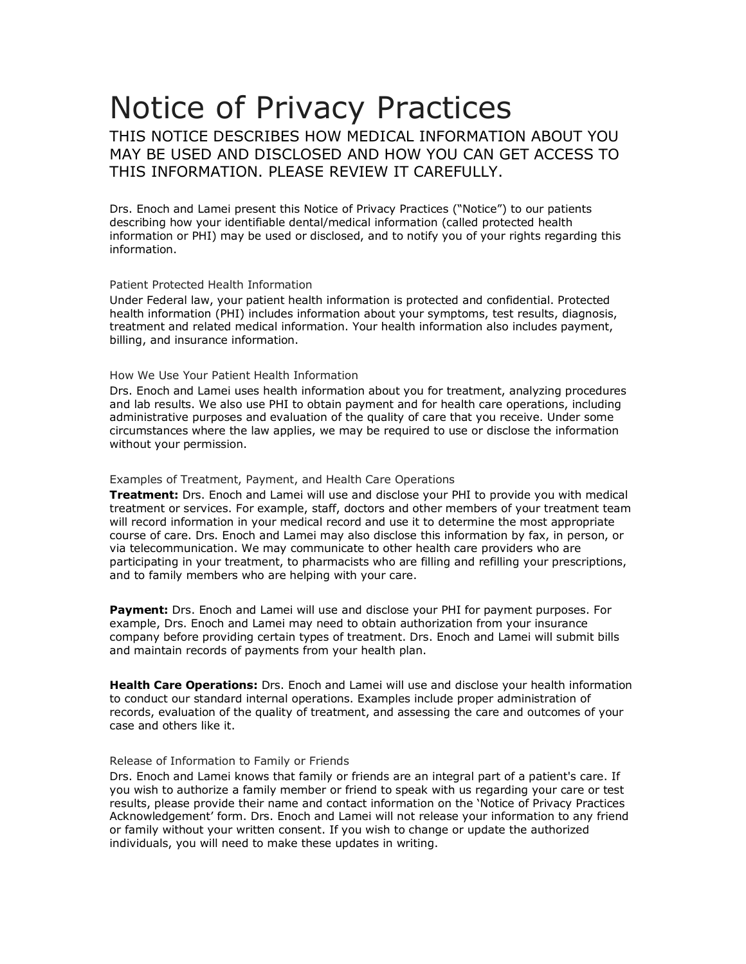# Notice of Privacy Practices

THIS NOTICE DESCRIBES HOW MEDICAL INFORMATION ABOUT YOU MAY BE USED AND DISCLOSED AND HOW YOU CAN GET ACCESS TO THIS INFORMATION. PLEASE REVIEW IT CAREFULLY.

Drs. Enoch and Lamei present this Notice of Privacy Practices ("Notice") to our patients describing how your identifiable dental/medical information (called protected health information or PHI) may be used or disclosed, and to notify you of your rights regarding this information.

# Patient Protected Health Information

Under Federal law, your patient health information is protected and confidential. Protected health information (PHI) includes information about your symptoms, test results, diagnosis, treatment and related medical information. Your health information also includes payment, billing, and insurance information.

# How We Use Your Patient Health Information

Drs. Enoch and Lamei uses health information about you for treatment, analyzing procedures and lab results. We also use PHI to obtain payment and for health care operations, including administrative purposes and evaluation of the quality of care that you receive. Under some circumstances where the law applies, we may be required to use or disclose the information without your permission.

# Examples of Treatment, Payment, and Health Care Operations

**Treatment:** Drs. Enoch and Lamei will use and disclose your PHI to provide you with medical treatment or services. For example, staff, doctors and other members of your treatment team will record information in your medical record and use it to determine the most appropriate course of care. Drs. Enoch and Lamei may also disclose this information by fax, in person, or via telecommunication. We may communicate to other health care providers who are participating in your treatment, to pharmacists who are filling and refilling your prescriptions, and to family members who are helping with your care.

**Payment:** Drs. Enoch and Lamei will use and disclose your PHI for payment purposes. For example, Drs. Enoch and Lamei may need to obtain authorization from your insurance company before providing certain types of treatment. Drs. Enoch and Lamei will submit bills and maintain records of payments from your health plan.

**Health Care Operations:** Drs. Enoch and Lamei will use and disclose your health information to conduct our standard internal operations. Examples include proper administration of records, evaluation of the quality of treatment, and assessing the care and outcomes of your case and others like it.

## Release of Information to Family or Friends

Drs. Enoch and Lamei knows that family or friends are an integral part of a patient's care. If you wish to authorize a family member or friend to speak with us regarding your care or test results, please provide their name and contact information on the 'Notice of Privacy Practices Acknowledgement' form. Drs. Enoch and Lamei will not release your information to any friend or family without your written consent. If you wish to change or update the authorized individuals, you will need to make these updates in writing.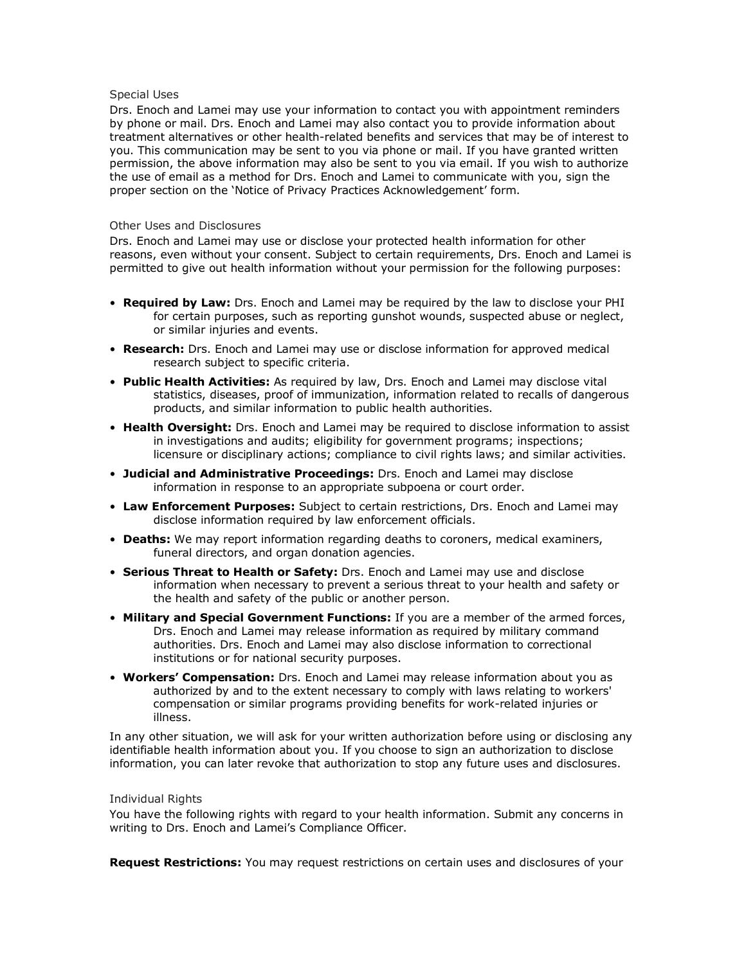## Special Uses

Drs. Enoch and Lamei may use your information to contact you with appointment reminders by phone or mail. Drs. Enoch and Lamei may also contact you to provide information about treatment alternatives or other health-related benefits and services that may be of interest to you. This communication may be sent to you via phone or mail. If you have granted written permission, the above information may also be sent to you via email. If you wish to authorize the use of email as a method for Drs. Enoch and Lamei to communicate with you, sign the proper section on the 'Notice of Privacy Practices Acknowledgement' form.

# Other Uses and Disclosures

Drs. Enoch and Lamei may use or disclose your protected health information for other reasons, even without your consent. Subject to certain requirements, Drs. Enoch and Lamei is permitted to give out health information without your permission for the following purposes:

- **Required by Law:** Drs. Enoch and Lamei may be required by the law to disclose your PHI for certain purposes, such as reporting gunshot wounds, suspected abuse or neglect, or similar injuries and events.
- **Research:** Drs. Enoch and Lamei may use or disclose information for approved medical research subject to specific criteria.
- **Public Health Activities:** As required by law, Drs. Enoch and Lamei may disclose vital statistics, diseases, proof of immunization, information related to recalls of dangerous products, and similar information to public health authorities.
- **Health Oversight:** Drs. Enoch and Lamei may be required to disclose information to assist in investigations and audits; eligibility for government programs; inspections; licensure or disciplinary actions; compliance to civil rights laws; and similar activities.
- **Judicial and Administrative Proceedings:** Drs. Enoch and Lamei may disclose information in response to an appropriate subpoena or court order.
- **Law Enforcement Purposes:** Subject to certain restrictions, Drs. Enoch and Lamei may disclose information required by law enforcement officials.
- **Deaths:** We may report information regarding deaths to coroners, medical examiners, funeral directors, and organ donation agencies.
- **Serious Threat to Health or Safety:** Drs. Enoch and Lamei may use and disclose information when necessary to prevent a serious threat to your health and safety or the health and safety of the public or another person.
- **Military and Special Government Functions:** If you are a member of the armed forces, Drs. Enoch and Lamei may release information as required by military command authorities. Drs. Enoch and Lamei may also disclose information to correctional institutions or for national security purposes.
- **Workers' Compensation:** Drs. Enoch and Lamei may release information about you as authorized by and to the extent necessary to comply with laws relating to workers' compensation or similar programs providing benefits for work-related injuries or illness.

In any other situation, we will ask for your written authorization before using or disclosing any identifiable health information about you. If you choose to sign an authorization to disclose information, you can later revoke that authorization to stop any future uses and disclosures.

#### Individual Rights

You have the following rights with regard to your health information. Submit any concerns in writing to Drs. Enoch and Lamei's Compliance Officer.

**Request Restrictions:** You may request restrictions on certain uses and disclosures of your